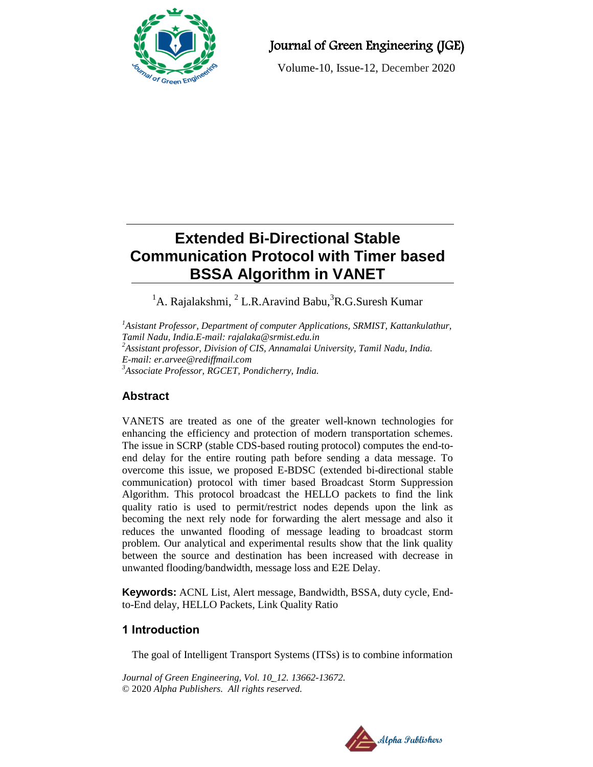

# Journal of Green Engineering (JGE)

Volume-10, Issue-12, December 2020

# **Extended Bi-Directional Stable Communication Protocol with Timer based BSSA Algorithm in VANET**

 ${}^{1}$ A. Rajalakshmi,  ${}^{2}$  L.R.Aravind Babu,  ${}^{3}$ R.G.Suresh Kumar

*<sup>1</sup>Asistant Professor, Department of computer Applications, SRMIST, Kattankulathur, Tamil Nadu, India.E-mail: rajalaka@srmist.edu.in <sup>2</sup>Assistant professor, Division of CIS, Annamalai University, Tamil Nadu, India. E-mail: er.arvee@rediffmail.com <sup>3</sup>Associate Professor, RGCET, Pondicherry, India.*

# **Abstract**

VANETS are treated as one of the greater well-known technologies for enhancing the efficiency and protection of modern transportation schemes. The issue in SCRP (stable CDS-based routing protocol) computes the end-toend delay for the entire routing path before sending a data message. To overcome this issue, we proposed E-BDSC (extended bi-directional stable communication) protocol with timer based Broadcast Storm Suppression Algorithm. This protocol broadcast the HELLO packets to find the link quality ratio is used to permit/restrict nodes depends upon the link as becoming the next rely node for forwarding the alert message and also it reduces the unwanted flooding of message leading to broadcast storm problem. Our analytical and experimental results show that the link quality between the source and destination has been increased with decrease in unwanted flooding/bandwidth, message loss and E2E Delay.

**Keywords:** ACNL List, Alert message, Bandwidth, BSSA, duty cycle, Endto-End delay, HELLO Packets, Link Quality Ratio

## **1 Introduction**

The goal of Intelligent Transport Systems (ITSs) is to combine information

*Journal of Green Engineering, Vol. 10\_12. 13662-13672.* © 2020 *Alpha Publishers. All rights reserved.*

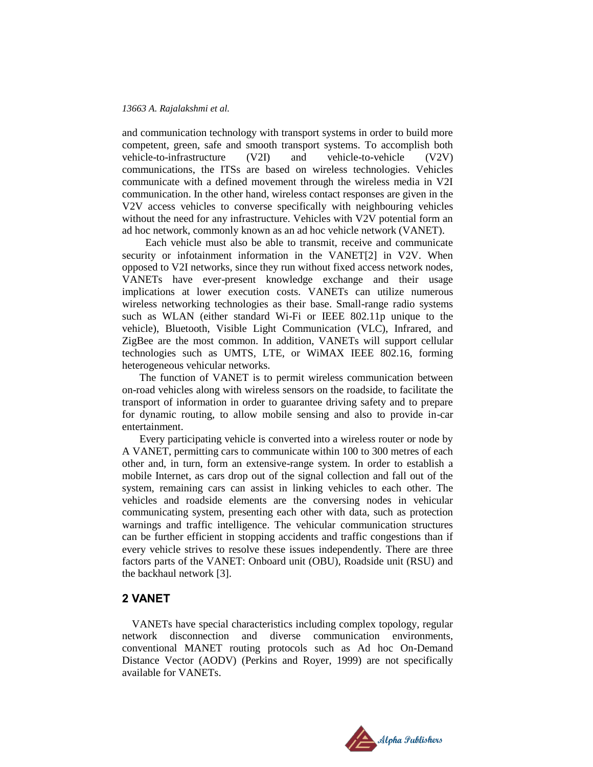#### *13663 A. Rajalakshmi et al.*

and communication technology with transport systems in order to build more competent, green, safe and smooth transport systems. To accomplish both vehicle-to-infrastructure (V2I) and vehicle-to-vehicle (V2V) communications, the ITSs are based on wireless technologies. Vehicles communicate with a defined movement through the wireless media in V2I communication. In the other hand, wireless contact responses are given in the V2V access vehicles to converse specifically with neighbouring vehicles without the need for any infrastructure. Vehicles with V2V potential form an ad hoc network, commonly known as an ad hoc vehicle network (VANET).

 Each vehicle must also be able to transmit, receive and communicate security or infotainment information in the VANET[2] in V2V. When opposed to V2I networks, since they run without fixed access network nodes, VANETs have ever-present knowledge exchange and their usage implications at lower execution costs. VANETs can utilize numerous wireless networking technologies as their base. Small-range radio systems such as WLAN (either standard Wi-Fi or IEEE 802.11p unique to the vehicle), Bluetooth, Visible Light Communication (VLC), Infrared, and ZigBee are the most common. In addition, VANETs will support cellular technologies such as UMTS, LTE, or WiMAX IEEE 802.16, forming heterogeneous vehicular networks.

The function of VANET is to permit wireless communication between on-road vehicles along with wireless sensors on the roadside, to facilitate the transport of information in order to guarantee driving safety and to prepare for dynamic routing, to allow mobile sensing and also to provide in-car entertainment.

Every participating vehicle is converted into a wireless router or node by A VANET, permitting cars to communicate within 100 to 300 metres of each other and, in turn, form an extensive-range system. In order to establish a mobile Internet, as cars drop out of the signal collection and fall out of the system, remaining cars can assist in linking vehicles to each other. The vehicles and roadside elements are the conversing nodes in vehicular communicating system, presenting each other with data, such as protection warnings and traffic intelligence. The vehicular communication structures can be further efficient in stopping accidents and traffic congestions than if every vehicle strives to resolve these issues independently. There are three factors parts of the VANET: Onboard unit (OBU), Roadside unit (RSU) and the backhaul network [3].

#### **2 VANET**

VANETs have special characteristics including complex topology, regular network disconnection and diverse communication environments, conventional MANET routing protocols such as Ad hoc On-Demand Distance Vector (AODV) (Perkins and Royer, 1999) are not specifically available for VANETs.

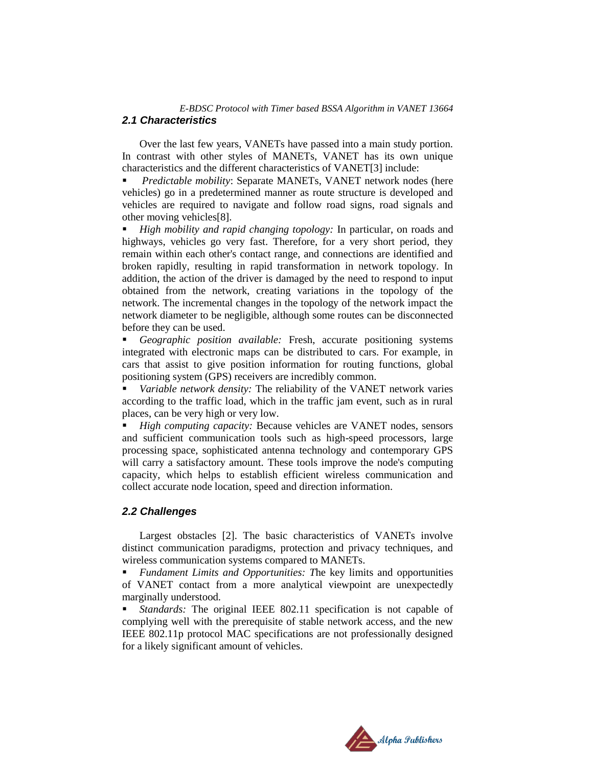#### *E-BDSC Protocol with Timer based BSSA Algorithm in VANET 13664 2.1 Characteristics*

Over the last few years, VANETs have passed into a main study portion. In contrast with other styles of MANETs, VANET has its own unique characteristics and the different characteristics of VANET[3] include:

 *Predictable mobility*: Separate MANETs, VANET network nodes (here vehicles) go in a predetermined manner as route structure is developed and vehicles are required to navigate and follow road signs, road signals and other moving vehicles[8].

 *High mobility and rapid changing topology:* In particular, on roads and highways, vehicles go very fast. Therefore, for a very short period, they remain within each other's contact range, and connections are identified and broken rapidly, resulting in rapid transformation in network topology. In addition, the action of the driver is damaged by the need to respond to input obtained from the network, creating variations in the topology of the network. The incremental changes in the topology of the network impact the network diameter to be negligible, although some routes can be disconnected before they can be used.

 *Geographic position available:* Fresh, accurate positioning systems integrated with electronic maps can be distributed to cars. For example, in cars that assist to give position information for routing functions, global positioning system (GPS) receivers are incredibly common.

 *Variable network density:* The reliability of the VANET network varies according to the traffic load, which in the traffic jam event, such as in rural places, can be very high or very low.

 *High computing capacity:* Because vehicles are VANET nodes, sensors and sufficient communication tools such as high-speed processors, large processing space, sophisticated antenna technology and contemporary GPS will carry a satisfactory amount. These tools improve the node's computing capacity, which helps to establish efficient wireless communication and collect accurate node location, speed and direction information.

#### *2.2 Challenges*

Largest obstacles [2]. The basic characteristics of VANETs involve distinct communication paradigms, protection and privacy techniques, and wireless communication systems compared to MANETs.

 *Fundament Limits and Opportunities: T*he key limits and opportunities of VANET contact from a more analytical viewpoint are unexpectedly marginally understood.

 *Standards:* The original IEEE 802.11 specification is not capable of complying well with the prerequisite of stable network access, and the new IEEE 802.11p protocol MAC specifications are not professionally designed for a likely significant amount of vehicles.

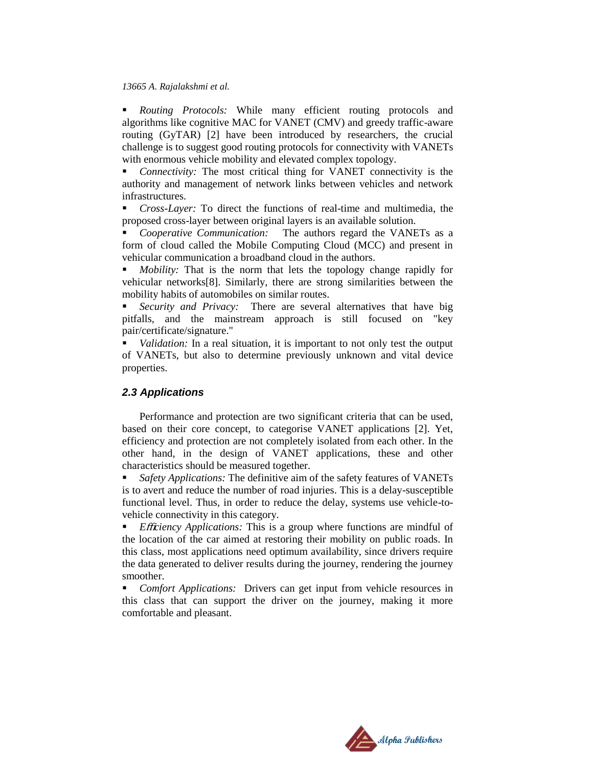#### *13665 A. Rajalakshmi et al.*

 *Routing Protocols:* While many efficient routing protocols and algorithms like cognitive MAC for VANET (CMV) and greedy traffic-aware routing (GyTAR) [2] have been introduced by researchers, the crucial challenge is to suggest good routing protocols for connectivity with VANETs with enormous vehicle mobility and elevated complex topology.

 *Connectivity:* The most critical thing for VANET connectivity is the authority and management of network links between vehicles and network infrastructures.

 *Cross-Layer:* To direct the functions of real-time and multimedia, the proposed cross-layer between original layers is an available solution.

 *Cooperative Communication:* The authors regard the VANETs as a form of cloud called the Mobile Computing Cloud (MCC) and present in vehicular communication a broadband cloud in the authors.

 *Mobility:* That is the norm that lets the topology change rapidly for vehicular networks[8]. Similarly, there are strong similarities between the mobility habits of automobiles on similar routes.

 *Security and Privacy:* There are several alternatives that have big pitfalls, and the mainstream approach is still focused on "key pair/certificate/signature."

 *Validation:* In a real situation, it is important to not only test the output of VANETs, but also to determine previously unknown and vital device properties.

#### *2.3 Applications*

Performance and protection are two significant criteria that can be used, based on their core concept, to categorise VANET applications [2]. Yet, efficiency and protection are not completely isolated from each other. In the other hand, in the design of VANET applications, these and other characteristics should be measured together.

 *Safety Applications:* The definitive aim of the safety features of VANETs is to avert and reduce the number of road injuries. This is a delay-susceptible functional level. Thus, in order to reduce the delay, systems use vehicle-tovehicle connectivity in this category.

**Efficiency Applications:** This is a group where functions are mindful of the location of the car aimed at restoring their mobility on public roads. In this class, most applications need optimum availability, since drivers require the data generated to deliver results during the journey, rendering the journey smoother.

 *Comfort Applications:* Drivers can get input from vehicle resources in this class that can support the driver on the journey, making it more comfortable and pleasant.

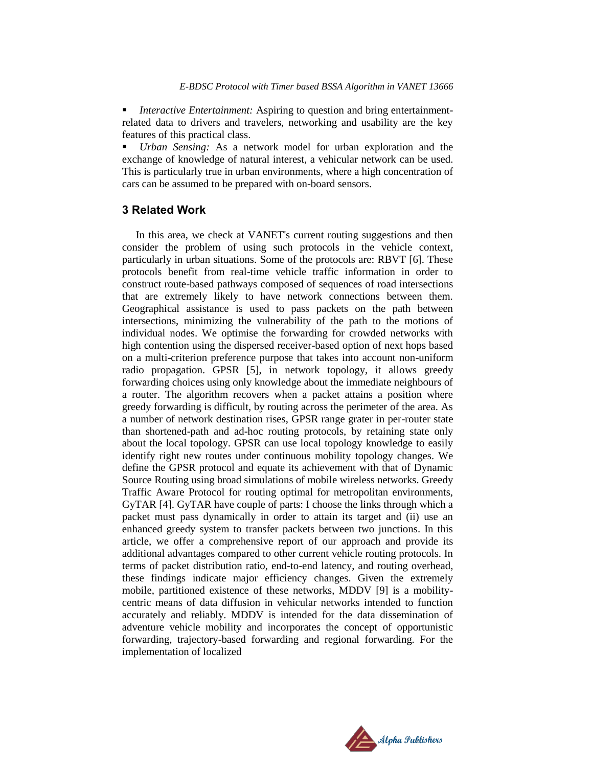*Interactive Entertainment:* Aspiring to question and bring entertainmentrelated data to drivers and travelers, networking and usability are the key features of this practical class.

 *Urban Sensing:* As a network model for urban exploration and the exchange of knowledge of natural interest, a vehicular network can be used. This is particularly true in urban environments, where a high concentration of cars can be assumed to be prepared with on-board sensors.

#### **3 Related Work**

In this area, we check at VANET's current routing suggestions and then consider the problem of using such protocols in the vehicle context, particularly in urban situations. Some of the protocols are: RBVT [6]. These protocols benefit from real-time vehicle traffic information in order to construct route-based pathways composed of sequences of road intersections that are extremely likely to have network connections between them. Geographical assistance is used to pass packets on the path between intersections, minimizing the vulnerability of the path to the motions of individual nodes. We optimise the forwarding for crowded networks with high contention using the dispersed receiver-based option of next hops based on a multi-criterion preference purpose that takes into account non-uniform radio propagation. GPSR [5], in network topology, it allows greedy forwarding choices using only knowledge about the immediate neighbours of a router. The algorithm recovers when a packet attains a position where greedy forwarding is difficult, by routing across the perimeter of the area. As a number of network destination rises, GPSR range grater in per-router state than shortened-path and ad-hoc routing protocols, by retaining state only about the local topology. GPSR can use local topology knowledge to easily identify right new routes under continuous mobility topology changes. We define the GPSR protocol and equate its achievement with that of Dynamic Source Routing using broad simulations of mobile wireless networks. Greedy Traffic Aware Protocol for routing optimal for metropolitan environments, GyTAR [4]. GyTAR have couple of parts: I choose the links through which a packet must pass dynamically in order to attain its target and (ii) use an enhanced greedy system to transfer packets between two junctions. In this article, we offer a comprehensive report of our approach and provide its additional advantages compared to other current vehicle routing protocols. In terms of packet distribution ratio, end-to-end latency, and routing overhead, these findings indicate major efficiency changes. Given the extremely mobile, partitioned existence of these networks, MDDV [9] is a mobilitycentric means of data diffusion in vehicular networks intended to function accurately and reliably. MDDV is intended for the data dissemination of adventure vehicle mobility and incorporates the concept of opportunistic forwarding, trajectory-based forwarding and regional forwarding. For the implementation of localized

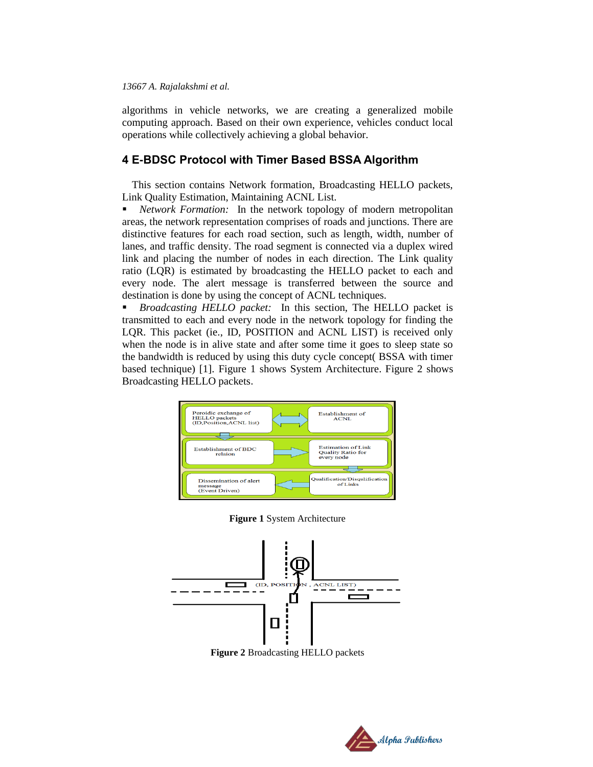#### *13667 A. Rajalakshmi et al.*

algorithms in vehicle networks, we are creating a generalized mobile computing approach. Based on their own experience, vehicles conduct local operations while collectively achieving a global behavior.

### **4 E-BDSC Protocol with Timer Based BSSA Algorithm**

This section contains Network formation, Broadcasting HELLO packets, Link Quality Estimation, Maintaining ACNL List.

 *Network Formation:* In the network topology of modern metropolitan areas, the network representation comprises of roads and junctions. There are distinctive features for each road section, such as length, width, number of lanes, and traffic density. The road segment is connected via a duplex wired link and placing the number of nodes in each direction. The Link quality ratio (LQR) is estimated by broadcasting the HELLO packet to each and every node. The alert message is transferred between the source and destination is done by using the concept of ACNL techniques.

 *Broadcasting HELLO packet:* In this section, The HELLO packet is transmitted to each and every node in the network topology for finding the LQR. This packet (ie., ID, POSITION and ACNL LIST) is received only when the node is in alive state and after some time it goes to sleep state so the bandwidth is reduced by using this duty cycle concept( BSSA with timer based technique) [1]. Figure 1 shows System Architecture. Figure 2 shows Broadcasting HELLO packets.



**Figure 1** System Architecture



**Figure 2** Broadcasting HELLO packets

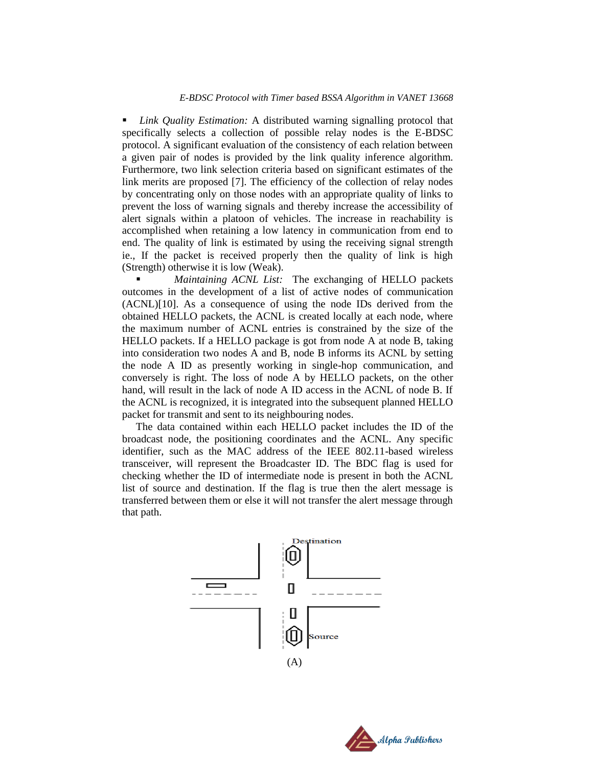*Link Quality Estimation:* A distributed warning signalling protocol that specifically selects a collection of possible relay nodes is the E-BDSC protocol. A significant evaluation of the consistency of each relation between a given pair of nodes is provided by the link quality inference algorithm. Furthermore, two link selection criteria based on significant estimates of the link merits are proposed [7]. The efficiency of the collection of relay nodes by concentrating only on those nodes with an appropriate quality of links to prevent the loss of warning signals and thereby increase the accessibility of alert signals within a platoon of vehicles. The increase in reachability is accomplished when retaining a low latency in communication from end to end. The quality of link is estimated by using the receiving signal strength ie., If the packet is received properly then the quality of link is high (Strength) otherwise it is low (Weak).

 *Maintaining ACNL List:* The exchanging of HELLO packets outcomes in the development of a list of active nodes of communication (ACNL)[10]. As a consequence of using the node IDs derived from the obtained HELLO packets, the ACNL is created locally at each node, where the maximum number of ACNL entries is constrained by the size of the HELLO packets. If a HELLO package is got from node A at node B, taking into consideration two nodes A and B, node B informs its ACNL by setting the node A ID as presently working in single-hop communication, and conversely is right. The loss of node A by HELLO packets, on the other hand, will result in the lack of node A ID access in the ACNL of node B. If the ACNL is recognized, it is integrated into the subsequent planned HELLO packet for transmit and sent to its neighbouring nodes.

The data contained within each HELLO packet includes the ID of the broadcast node, the positioning coordinates and the ACNL. Any specific identifier, such as the MAC address of the IEEE 802.11-based wireless transceiver, will represent the Broadcaster ID. The BDC flag is used for checking whether the ID of intermediate node is present in both the ACNL list of source and destination. If the flag is true then the alert message is transferred between them or else it will not transfer the alert message through that path.



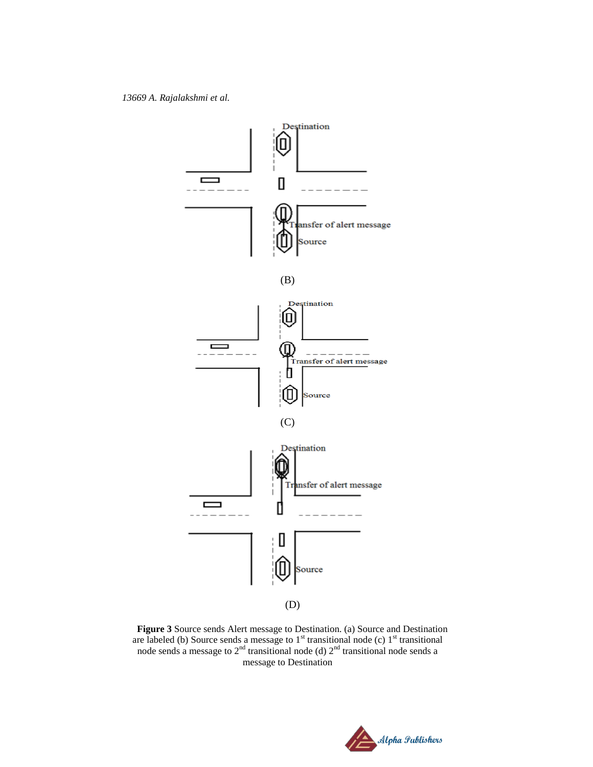

**Figure 3** Source sends Alert message to Destination. (a) Source and Destination are labeled (b) Source sends a message to  $1<sup>st</sup>$  transitional node (c)  $1<sup>st</sup>$  transitional node sends a message to  $2^{nd}$  transitional node (d)  $2^{nd}$  transitional node sends a message to Destination

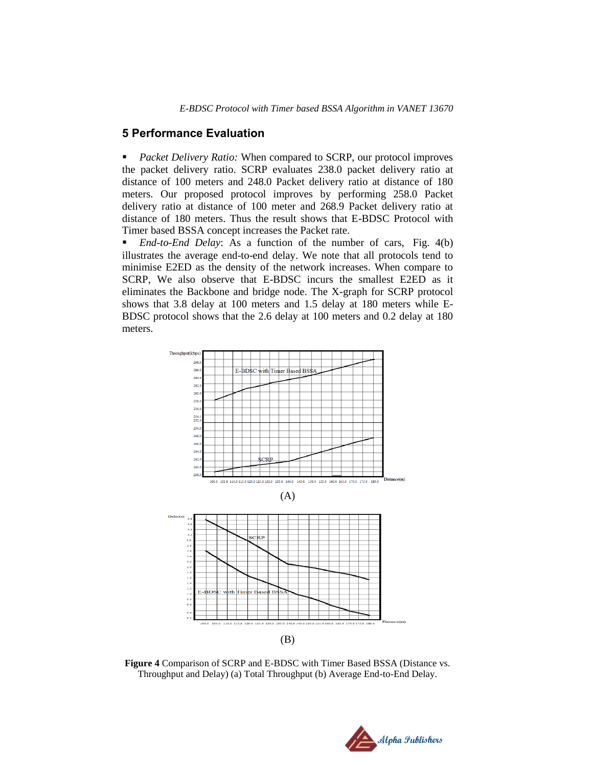### **5 Performance Evaluation**

 *Packet Delivery Ratio:* When compared to SCRP, our protocol improves the packet delivery ratio. SCRP evaluates 238.0 packet delivery ratio at distance of 100 meters and 248.0 Packet delivery ratio at distance of 180 meters. Our proposed protocol improves by performing 258.0 Packet delivery ratio at distance of 100 meter and 268.9 Packet delivery ratio at distance of 180 meters. Thus the result shows that E-BDSC Protocol with Timer based BSSA concept increases the Packet rate.

• *End-to-End Delay*: As a function of the number of cars, Fig. 4(b) illustrates the average end-to-end delay. We note that all protocols tend to minimise E2ED as the density of the network increases. When compare to SCRP, We also observe that E-BDSC incurs the smallest E2ED as it eliminates the Backbone and bridge node. The X-graph for SCRP protocol shows that 3.8 delay at 100 meters and 1.5 delay at 180 meters while E-BDSC protocol shows that the 2.6 delay at 100 meters and 0.2 delay at 180 meters.



**Figure 4** Comparison of SCRP and E-BDSC with Timer Based BSSA (Distance vs. Throughput and Delay) (a) Total Throughput (b) Average End-to-End Delay.

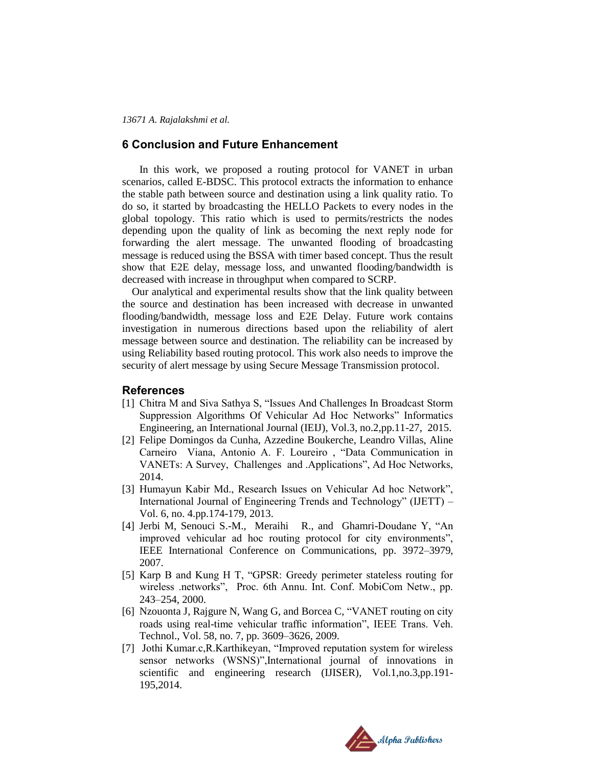#### **6 Conclusion and Future Enhancement**

In this work, we proposed a routing protocol for VANET in urban scenarios, called E-BDSC. This protocol extracts the information to enhance the stable path between source and destination using a link quality ratio. To do so, it started by broadcasting the HELLO Packets to every nodes in the global topology. This ratio which is used to permits/restricts the nodes depending upon the quality of link as becoming the next reply node for forwarding the alert message. The unwanted flooding of broadcasting message is reduced using the BSSA with timer based concept. Thus the result show that E2E delay, message loss, and unwanted flooding/bandwidth is decreased with increase in throughput when compared to SCRP.

Our analytical and experimental results show that the link quality between the source and destination has been increased with decrease in unwanted flooding/bandwidth, message loss and E2E Delay. Future work contains investigation in numerous directions based upon the reliability of alert message between source and destination. The reliability can be increased by using Reliability based routing protocol. This work also needs to improve the security of alert message by using Secure Message Transmission protocol.

#### **References**

- [1] Chitra M and Siva Sathya S, "Issues And Challenges In Broadcast Storm Suppression Algorithms Of Vehicular Ad Hoc Networks" Informatics Engineering, an International Journal (IEIJ), Vol.3, no.2,pp.11-27, 2015.
- [2] Felipe Domingos da Cunha, Azzedine Boukerche, Leandro Villas, Aline Carneiro Viana, Antonio A. F. Loureiro , "Data Communication in VANETs: A Survey, Challenges and .Applications", Ad Hoc Networks, 2014.
- [3] Humayun Kabir Md., Research Issues on Vehicular Ad hoc Network", International Journal of Engineering Trends and Technology" (IJETT) – Vol. 6, no. 4.pp.174-179, 2013.
- [4] Jerbi M, Senouci S.-M., Meraihi R., and Ghamri-Doudane Y, "An improved vehicular ad hoc routing protocol for city environments", IEEE International Conference on Communications, pp. 3972–3979, 2007.
- [5] Karp B and Kung H T, "GPSR: Greedy perimeter stateless routing for wireless .networks", Proc. 6th Annu. Int. Conf. MobiCom Netw., pp. 243–254, 2000.
- [6] Nzouonta J, Rajgure N, Wang G, and Borcea C, "VANET routing on city roads using real-time vehicular traffic information", IEEE Trans. Veh. Technol., Vol. 58, no. 7, pp. 3609–3626, 2009.
- [7] Jothi Kumar.c, R. Karthikeyan, "Improved reputation system for wireless sensor networks (WSNS)",International journal of innovations in scientific and engineering research (IJISER), Vol.1,no.3,pp.191- 195,2014.